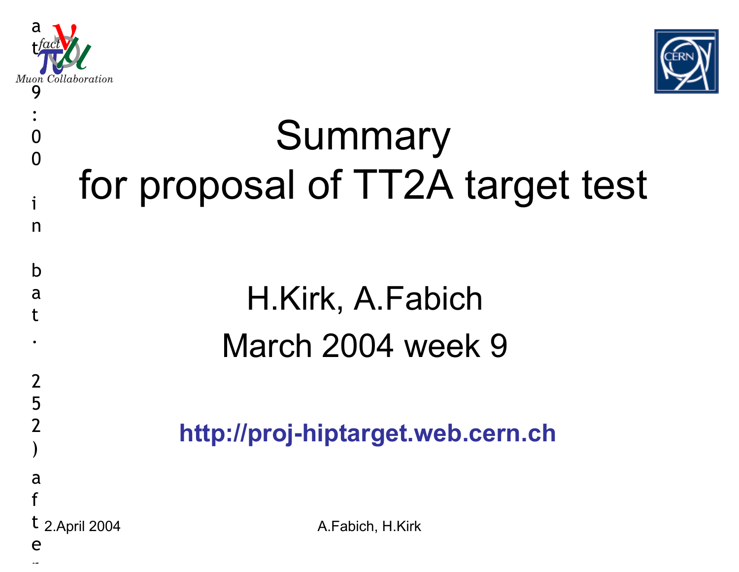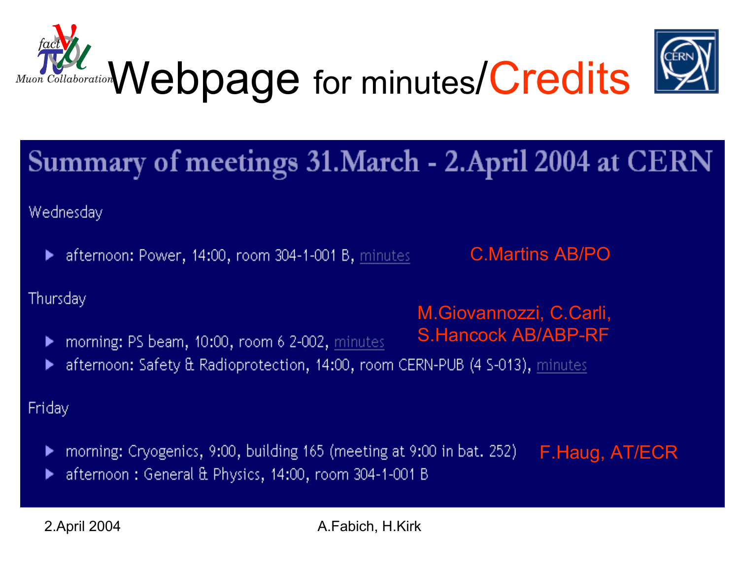

### Summary of meetings 31. March - 2. April 2004 at CERN

Wednesday

afternoon: Power, 14:00, room 304-1-001 B, minutes ▶

C.Martins AB/PO

M.Giovannozzi, C.Carli,

S.Hancock AB/ABP-RF

Thursday

- morning: PS beam, 10:00, room 6 2-002, minutes
- afternoon: Safety & Radioprotection, 14:00, room CERN-PUB (4 S-013), minutes

Friday

- morning: Cryogenics, 9:00, building 165 (meeting at 9:00 in bat. 252) F.Haug, AT/ECR▶
- afternoon: General & Physics, 14:00, room 304-1-001 B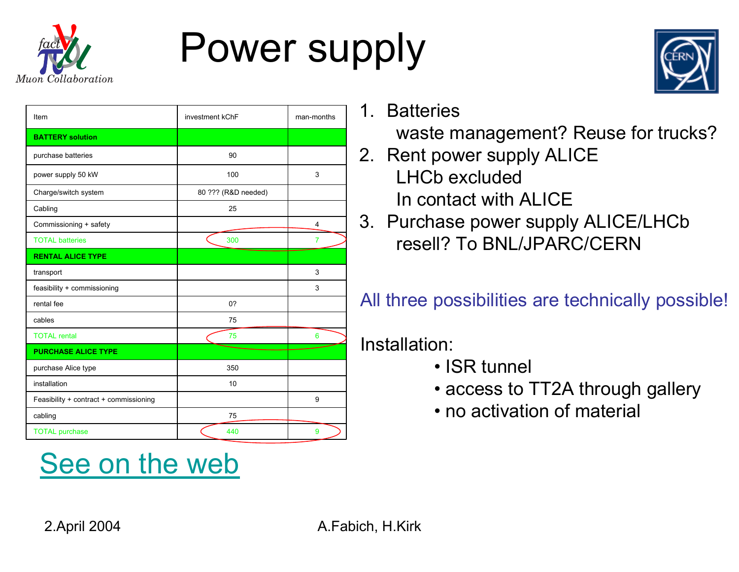

### Power supply



| Item                                   | investment kChF     | man-months     |
|----------------------------------------|---------------------|----------------|
| <b>BATTERY</b> solution                |                     |                |
| purchase batteries                     | 90                  |                |
| power supply 50 kW                     | 100                 | 3              |
| Charge/switch system                   | 80 ??? (R&D needed) |                |
| Cabling                                | 25                  |                |
| Commissioning + safety                 |                     | 4              |
| <b>TOTAL batteries</b>                 | 300                 | $\overline{7}$ |
| <b>RENTAL ALICE TYPE</b>               |                     |                |
| transport                              |                     | 3              |
| feasibility + commissioning            |                     | 3              |
| rental fee                             | 0?                  |                |
| cables                                 | 75                  |                |
| <b>TOTAL rental</b>                    | 75                  | 6              |
| <b>PURCHASE ALICE TYPE</b>             |                     |                |
| purchase Alice type                    | 350                 |                |
| installation                           | 10                  |                |
| Feasibility + contract + commissioning |                     | 9              |
| cabling                                | 75                  |                |
| <b>TOTAL purchase</b>                  | 440                 | 9              |

#### See on the web

1. Batteries

waste management? Reuse for trucks?

- 2. Rent power supply ALICE LHCb excludedIn contact with ALICE
- 3. Purchase power supply ALICE/LHCb resell? To BNL/JPARC/CERN

All three possibilities are technically possible!

#### Installation:

- ISR tunnel
- access to TT2A through gallery
- no activation of material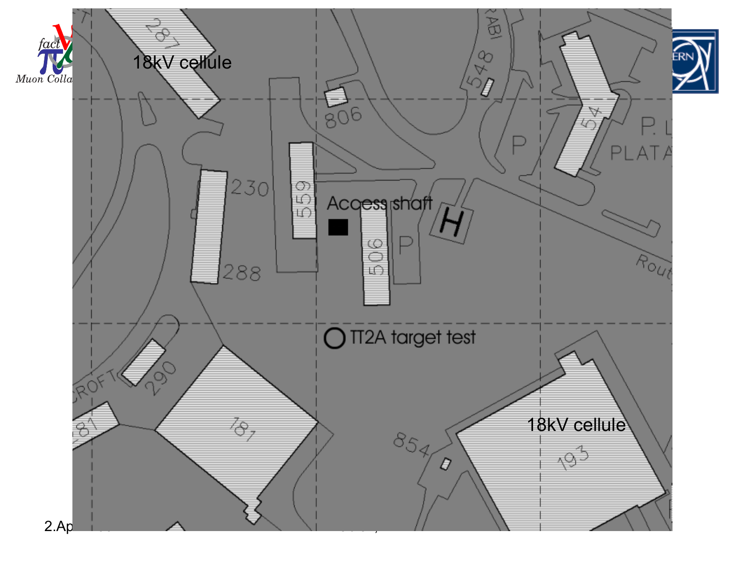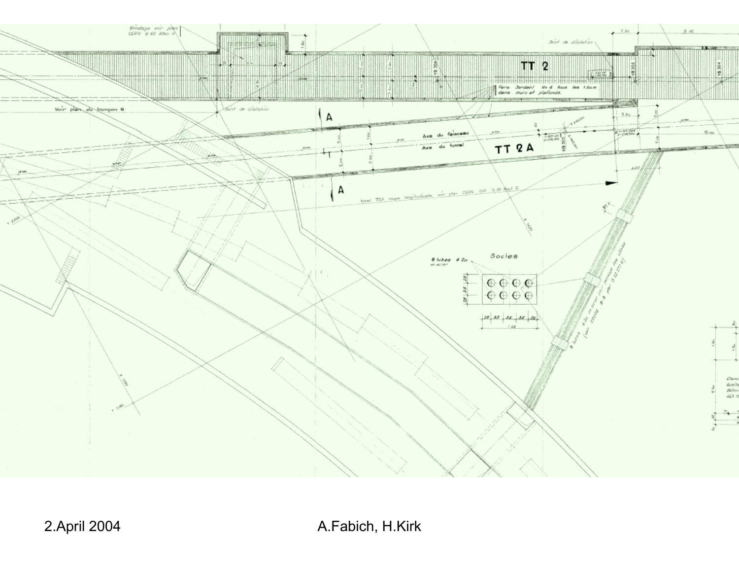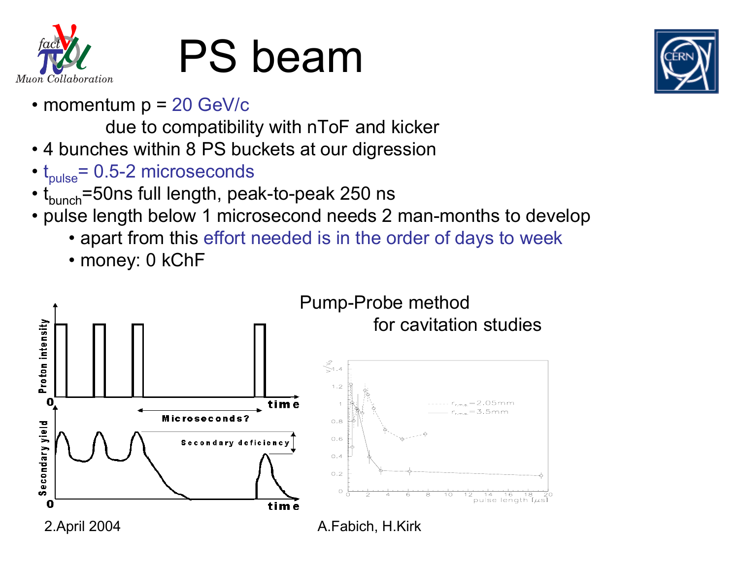

## PS beam

• momentum p = 20 GeV/c

due to compatibility with nToF and kicker

- 4 bunches within 8 PS buckets at our digression
- $\bullet$   ${\rm t_{pulse}}$ = 0.5-2 microseconds
- t<sub>bunch</sub>=50ns full length, peak-to-peak 250 ns
- pulse length below 1 microsecond needs 2 man-months to develop
	- apart from this effort needed is in the order of days to week
	- money: 0 kChF

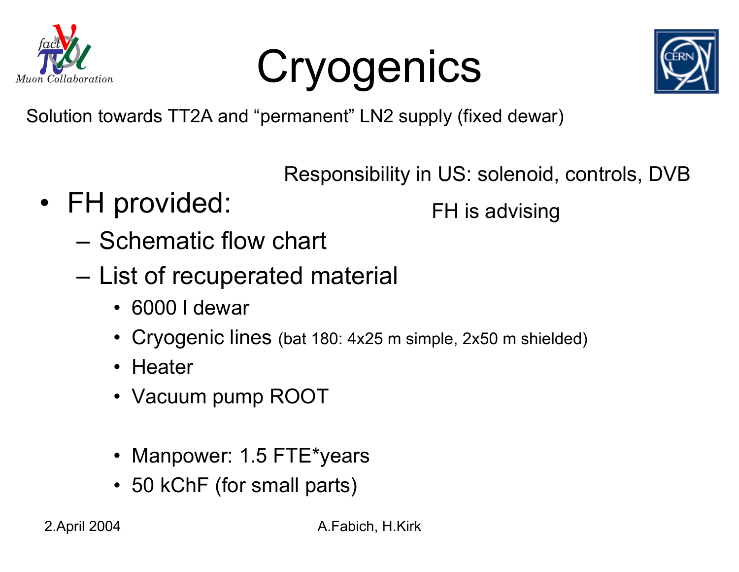

Cryogenics



Solution towards TT2A and "permanent" LN2 supply (fixed dewar)

Responsibility in US: solenoid, controls, DVB

• FH provided:

FH is advising

- Schematic flow chart
- – List of recuperated material
	- 6000 l dewar
	- Cryogenic lines (bat 180: 4x25 m simple, 2x50 m shielded)
	- Heater
	- Vacuum pump ROOT
	- Manpower: 1.5 FTE\*years
	- 50 kChF (for small parts)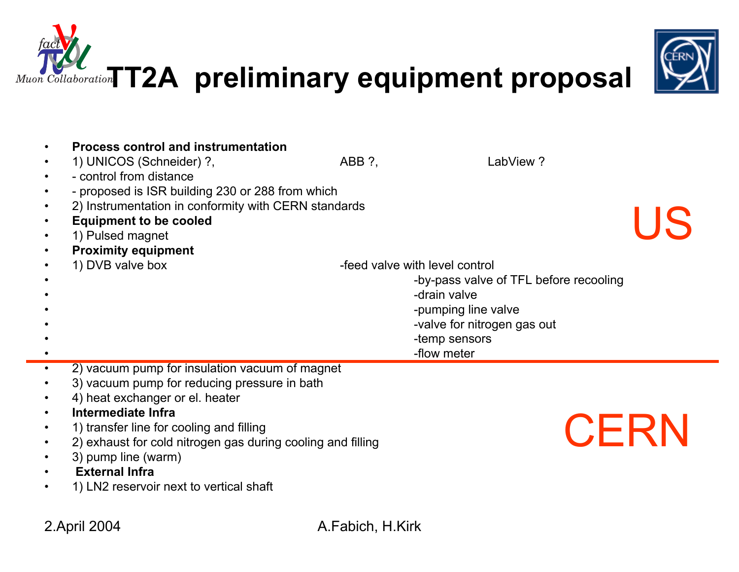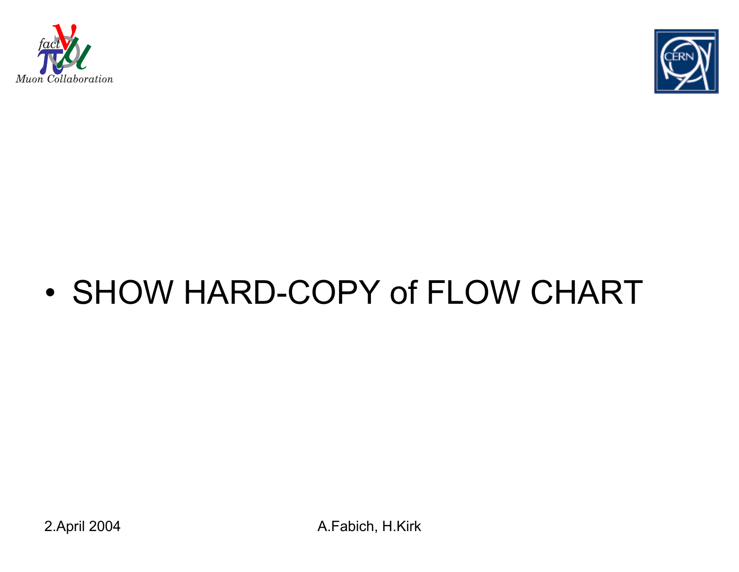



#### •SHOW HARD-COPY of FLOW CHART

2.April 2004 A.Fabich, H.Kirk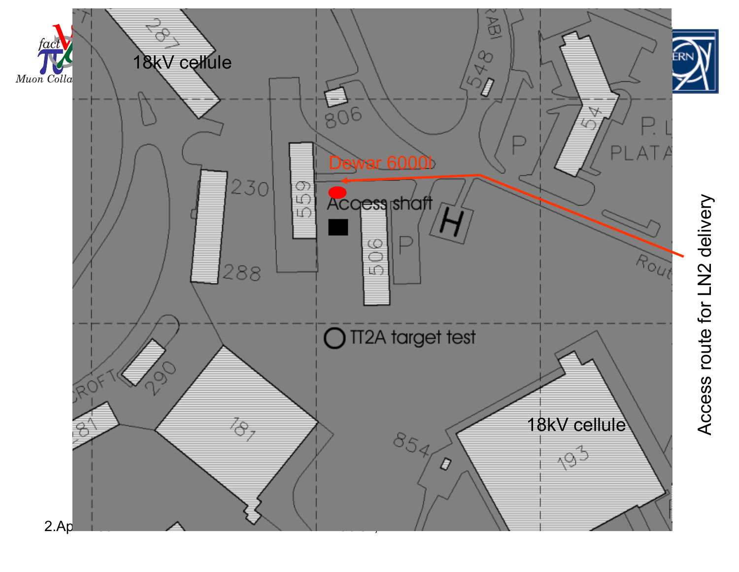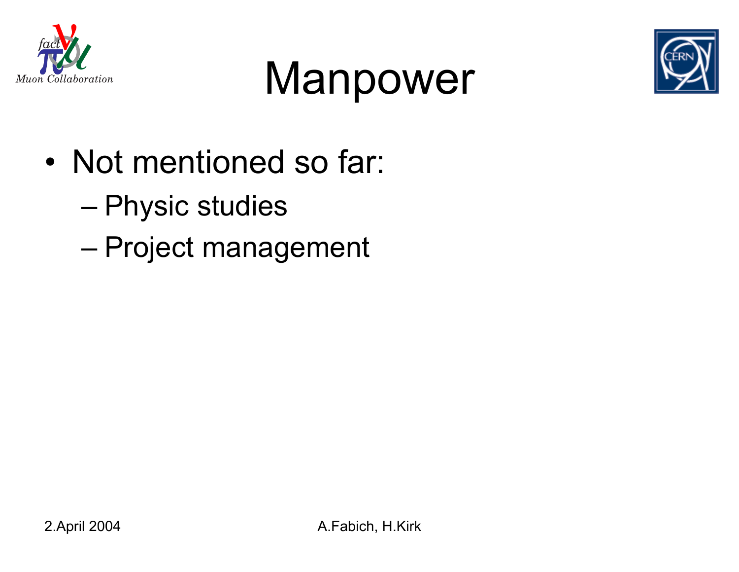





- • Not mentioned so far:
	- Physic studies
	- Project management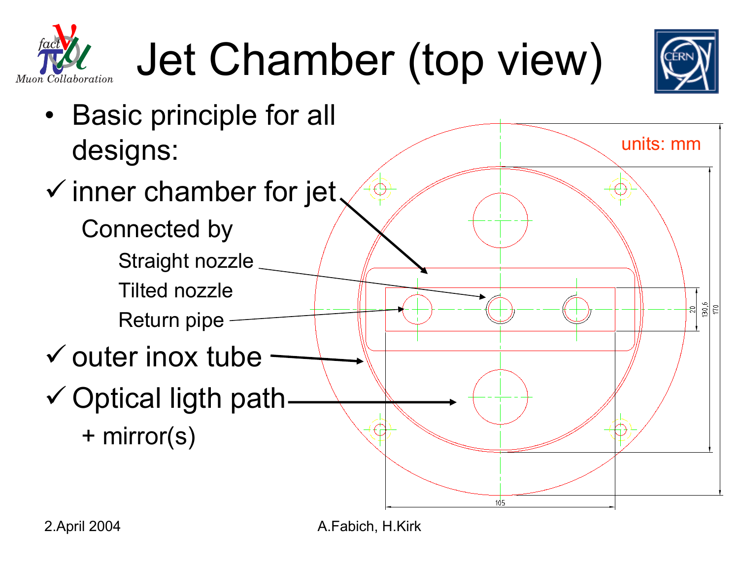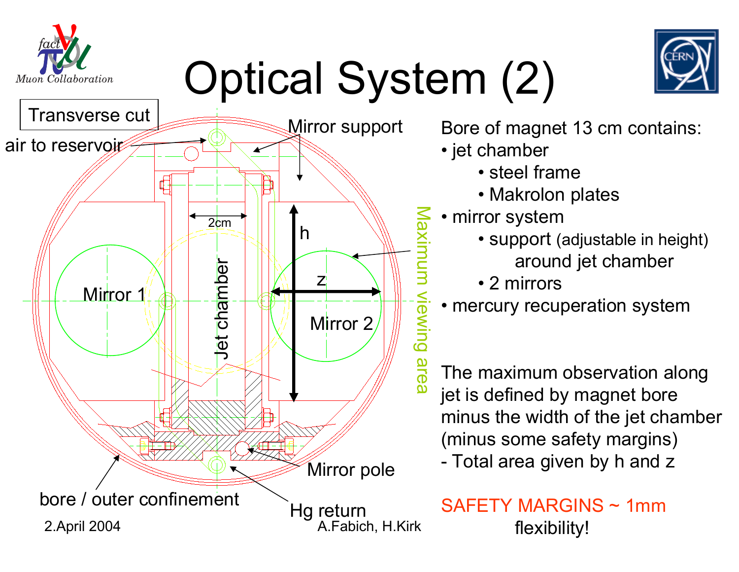# Optical System (2)



Muon Collaboration

Bore of magnet 13 cm contains:

- jet chamber
	- steel frame
	- Makrolon plates
- mirror system
	- support (adjustable in height) around jet chamber
	- 2 mirrors
- mercury recuperation system

The maximum observation along jet is defined by magnet bore minus the width of the jet chamber (minus some safety margins) Total area given by h and z

SAFETY MARGINS ~ 1mmflexibility!